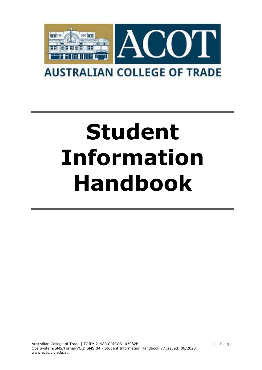

# **Student Information Handbook**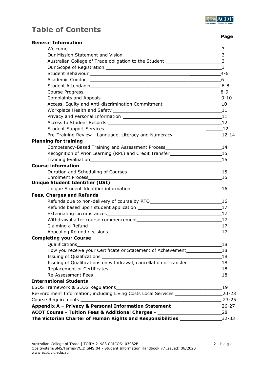

# **Table of Contents**

 **Page**

| <b>General Information</b>                                                                                                                                                                                                                                                                                                                                                                                                                                                                                                                                                                                            |                |
|-----------------------------------------------------------------------------------------------------------------------------------------------------------------------------------------------------------------------------------------------------------------------------------------------------------------------------------------------------------------------------------------------------------------------------------------------------------------------------------------------------------------------------------------------------------------------------------------------------------------------|----------------|
|                                                                                                                                                                                                                                                                                                                                                                                                                                                                                                                                                                                                                       | 3              |
|                                                                                                                                                                                                                                                                                                                                                                                                                                                                                                                                                                                                                       |                |
| Australian College of Trade obligation to the Student ___________________________3                                                                                                                                                                                                                                                                                                                                                                                                                                                                                                                                    |                |
|                                                                                                                                                                                                                                                                                                                                                                                                                                                                                                                                                                                                                       | $\overline{3}$ |
|                                                                                                                                                                                                                                                                                                                                                                                                                                                                                                                                                                                                                       |                |
|                                                                                                                                                                                                                                                                                                                                                                                                                                                                                                                                                                                                                       |                |
|                                                                                                                                                                                                                                                                                                                                                                                                                                                                                                                                                                                                                       |                |
|                                                                                                                                                                                                                                                                                                                                                                                                                                                                                                                                                                                                                       |                |
| Complaints and Appeals<br>$\begin{tabular}{c} \multicolumn{2}{c }{\textbf{\textcolor{blue}{\bf \textcolor{blue}{\bf \textcolor{blue}{\bf \textcolor{blue}{\bf \textcolor{blue}{\bf \textcolor{blue}{\bf \textcolor{blue}{\bf \textcolor{blue}{\bf \textcolor{blue}{\bf \textcolor{blue}{\bf \textcolor{blue}{\bf \textcolor{blue}{\bf \textcolor{blue}{\bf \textcolor{blue}{\bf \textcolor{blue}{\bf \textcolor{blue}{\bf \textcolor{blue}{\bf \textcolor{blue}{\bf \textcolor{blue}{\bf \textcolor{blue}{\bf \textcolor{blue}{\bf \textcolor{blue}{\bf \textcolor{blue}{\bf \textcolor{blue}{\bf \textcolor{blue}{\$ |                |
| Access, Equity and Anti-discrimination Commitment _______________________________10                                                                                                                                                                                                                                                                                                                                                                                                                                                                                                                                   |                |
|                                                                                                                                                                                                                                                                                                                                                                                                                                                                                                                                                                                                                       |                |
|                                                                                                                                                                                                                                                                                                                                                                                                                                                                                                                                                                                                                       |                |
|                                                                                                                                                                                                                                                                                                                                                                                                                                                                                                                                                                                                                       |                |
|                                                                                                                                                                                                                                                                                                                                                                                                                                                                                                                                                                                                                       |                |
| Pre-Training Review - Language, Literacy and Numeracy_________________________12-14                                                                                                                                                                                                                                                                                                                                                                                                                                                                                                                                   |                |
| <b>Planning for training</b>                                                                                                                                                                                                                                                                                                                                                                                                                                                                                                                                                                                          |                |
| Competency-Based Training and Assessment Process________________________________14                                                                                                                                                                                                                                                                                                                                                                                                                                                                                                                                    |                |
| Recognition of Prior Learning (RPL) and Credit Transfer_________________________15                                                                                                                                                                                                                                                                                                                                                                                                                                                                                                                                    |                |
|                                                                                                                                                                                                                                                                                                                                                                                                                                                                                                                                                                                                                       | 15             |
| <b>Course information</b>                                                                                                                                                                                                                                                                                                                                                                                                                                                                                                                                                                                             |                |
|                                                                                                                                                                                                                                                                                                                                                                                                                                                                                                                                                                                                                       |                |
|                                                                                                                                                                                                                                                                                                                                                                                                                                                                                                                                                                                                                       |                |
| <b>Unique Student Identifier (USI)</b>                                                                                                                                                                                                                                                                                                                                                                                                                                                                                                                                                                                |                |
|                                                                                                                                                                                                                                                                                                                                                                                                                                                                                                                                                                                                                       |                |
| <b>Fees, Charges and Refunds</b>                                                                                                                                                                                                                                                                                                                                                                                                                                                                                                                                                                                      |                |
|                                                                                                                                                                                                                                                                                                                                                                                                                                                                                                                                                                                                                       |                |
|                                                                                                                                                                                                                                                                                                                                                                                                                                                                                                                                                                                                                       |                |
|                                                                                                                                                                                                                                                                                                                                                                                                                                                                                                                                                                                                                       |                |
| Withdrawal after course commencement 17 17                                                                                                                                                                                                                                                                                                                                                                                                                                                                                                                                                                            |                |
| Claiming a Refund 17                                                                                                                                                                                                                                                                                                                                                                                                                                                                                                                                                                                                  |                |
|                                                                                                                                                                                                                                                                                                                                                                                                                                                                                                                                                                                                                       |                |
| <b>Completing your Course</b>                                                                                                                                                                                                                                                                                                                                                                                                                                                                                                                                                                                         |                |
|                                                                                                                                                                                                                                                                                                                                                                                                                                                                                                                                                                                                                       | 18             |
| How you receive your Certificate or Statement of Achievement____________________18                                                                                                                                                                                                                                                                                                                                                                                                                                                                                                                                    |                |
|                                                                                                                                                                                                                                                                                                                                                                                                                                                                                                                                                                                                                       |                |
| Issuing of Qualifications on withdrawal, cancellation of transfer ______________18                                                                                                                                                                                                                                                                                                                                                                                                                                                                                                                                    |                |
|                                                                                                                                                                                                                                                                                                                                                                                                                                                                                                                                                                                                                       |                |
|                                                                                                                                                                                                                                                                                                                                                                                                                                                                                                                                                                                                                       |                |
| <b>International Students</b>                                                                                                                                                                                                                                                                                                                                                                                                                                                                                                                                                                                         |                |
|                                                                                                                                                                                                                                                                                                                                                                                                                                                                                                                                                                                                                       | 19             |
| Re-Enrolment Information, including Living Costs Local Services ________________                                                                                                                                                                                                                                                                                                                                                                                                                                                                                                                                      | $20 - 23$      |
|                                                                                                                                                                                                                                                                                                                                                                                                                                                                                                                                                                                                                       | $23 - 25$      |
| Appendix A - Privacy & Personal Information Statement<br>26-27                                                                                                                                                                                                                                                                                                                                                                                                                                                                                                                                                        |                |
| ACOT Course - Tuition Fees & Additional Charges - ______________________________28                                                                                                                                                                                                                                                                                                                                                                                                                                                                                                                                    |                |
| The Victorian Charter of Human Rights and Responsibilities ___________________32-33                                                                                                                                                                                                                                                                                                                                                                                                                                                                                                                                   |                |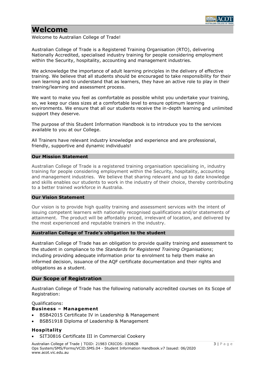

# **Welcome**

Welcome to Australian College of Trade!

Australian College of Trade is a Registered Training Organisation (RTO), delivering Nationally Accredited, specialised industry training for people considering employment within the Security, hospitality, accounting and management industries.

We acknowledge the importance of adult learning principles in the delivery of effective training. We believe that all students should be encouraged to take responsibility for their own learning and to understand that as learners, they have an active role to play in their training/learning and assessment process.

We want to make you feel as comfortable as possible whilst you undertake your training, so, we keep our class sizes at a comfortable level to ensure optimum learning environments. We ensure that all our students receive the in-depth learning and unlimited support they deserve.

The purpose of this Student Information Handbook is to introduce you to the services available to you at our College.

All Trainers have relevant industry knowledge and experience and are professional, friendly, supportive and dynamic individuals!

#### **Our Mission Statement**

Australian College of Trade is a registered training organisation specialising in, industry training for people considering employment within the Security, hospitality, accounting and management industries. We believe that sharing relevant and up to date knowledge and skills enables our students to work in the industry of their choice, thereby contributing to a better trained workforce in Australia.

#### **Our Vision Statement**

Our vision is to provide high quality training and assessment services with the intent of issuing competent learners with nationally recognised qualifications and/or statements of attainment. The product will be affordably priced, irrelevant of location, and delivered by the most experienced and reputable trainers in the industry.

#### **Australian College of Trade's obligation to the student**

Australian College of Trade has an obligation to provide quality training and assessment to the student in compliance to the *Standards for Registered Training Organisations*; including providing adequate information prior to enrolment to help them make an informed decision, issuance of the AQF certificate documentation and their rights and obligations as a student.

# **Our Scope of Registration**

Australian College of Trade has the following nationally accredited courses on its Scope of Registration:

Qualifications:

# **Business – Management**

- BSB42015 Certificate IV in Leadership & Management
- BSB51918 Diploma of Leadership & Management

# **Hospitality**

• SIT30816 Certificate III in Commercial Cookery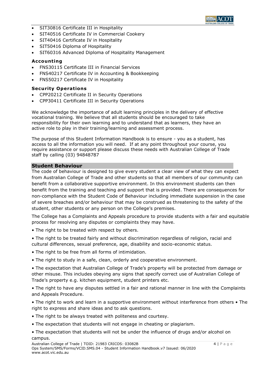

- SIT30816 Certificate III in Hospitality
- SIT40516 Certificate IV in Commercial Cookery
- SIT40416 Certificate IV in Hospitality
- SIT50416 Diploma of Hospitality
- SIT60316 Advanced Diploma of Hospitality Management

### **Accounting**

- FNS30115 Certificate III in Financial Services
- FNS40217 Certificate IV in Accounting & Bookkeeping
- FNS50217 Certificate IV in Hospitality

### **Security Operations**

- CPP20212 Certificate II in Security Operations
- CPP30411 Certificate III in Security Operations

We acknowledge the importance of adult learning principles in the delivery of effective vocational training. We believe that all students should be encouraged to take responsibility for their own learning and to understand that as learners, they have an active role to play in their training/learning and assessment process.

The purpose of this Student Information Handbook is to ensure - you as a student, has access to all the information you will need. If at any point throughout your course, you require assistance or support please discuss these needs with Australian College of Trade staff by calling (03) 94848787

#### **Student Behaviour**

The code of behaviour is designed to give every student a clear view of what they can expect from Australian College of Trade and other students so that all members of our community can benefit from a collaborative supportive environment. In this environment students can then benefit from the training and teaching and support that is provided. There are consequences for non-compliance with the Student Code of Behaviour including immediate suspension in the case of severe breaches and/or behaviour that may be construed as threatening to the safety of the student, other students or any person on the College's premises.

The College has a Complaints and Appeals procedure to provide students with a fair and equitable process for resolving any disputes or complaints they may have.

- The right to be treated with respect by others.
- The right to be treated fairly and without discrimination regardless of religion, racial and cultural differences, sexual preference, age, disability and socio-economic status.
- The right to be free from all forms of intimidation.
- The right to study in a safe, clean, orderly and cooperative environment.

• The expectation that Australian College of Trade's property will be protected from damage or other misuse. This includes obeying any signs that specify correct use of Australian College of Trade's property e.g. kitchen equipment, student printers etc.

• The right to have any disputes settled in a fair and rational manner in line with the Complaints and Appeals Procedure.

• The right to work and learn in a supportive environment without interference from others • The right to express and share ideas and to ask questions.

- The right to be always treated with politeness and courtesy.
- The expectation that students will not engage in cheating or plagiarism.
- The expectation that students will not be under the influence of drugs and/or alcohol on campus.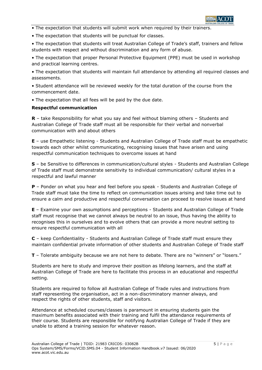

• The expectation that students will submit work when required by their trainers.

• The expectation that students will be punctual for classes.

• The expectation that students will treat Australian College of Trade's staff, trainers and fellow students with respect and without discrimination and any form of abuse.

• The expectation that proper Personal Protective Equipment (PPE) must be used in workshop and practical learning centres.

• The expectation that students will maintain full attendance by attending all required classes and assessments.

• Student attendance will be reviewed weekly for the total duration of the course from the commencement date.

• The expectation that all fees will be paid by the due date.

#### **Respectful communication**

**R** – take Responsibility for what you say and feel without blaming others – Students and Australian College of Trade staff must all be responsible for their verbal and nonverbal communication with and about others

**E** – use Empathetic listening - Students and Australian College of Trade staff must be empathetic towards each other whilst communicating, recognising issues that have arisen and using respectful communication techniques to overcome issues at hand

**S** – be Sensitive to differences in communication/cultural styles - Students and Australian College of Trade staff must demonstrate sensitivity to individual communication/ cultural styles in a respectful and lawful manner

**P** – Ponder on what you hear and feel before you speak - Students and Australian College of Trade staff must take the time to reflect on communication issues arising and take time out to ensure a calm and productive and respectful conversation can proceed to resolve issues at hand

**E** – Examine your own assumptions and perceptions - Students and Australian College of Trade staff must recognise that we cannot always be neutral to an issue, thus having the ability to recognises this in ourselves and to evolve others that can provide a more neutral setting to ensure respectful communication with all

**C** – keep Confidentiality - Students and Australian College of Trade staff must ensure they maintain confidential private information of other students and Australian College of Trade staff

**T** – Tolerate ambiguity because we are not here to debate. There are no "winners" or "losers."

Students are here to study and improve their position as lifelong learners, and the staff at Australian College of Trade are here to facilitate this process in an educational and respectful setting.

Students are required to follow all Australian College of Trade rules and instructions from staff representing the organisation, act in a non-discriminatory manner always, and respect the rights of other students, staff and visitors.

Attendance at scheduled courses/classes is paramount in ensuring students gain the maximum benefits associated with their training and fulfil the attendance requirements of their course. Students are responsible for notifying Australian College of Trade if they are unable to attend a training session for whatever reason.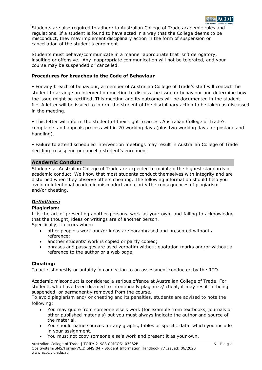

Students are also required to adhere to Australian College of Trade academic rules and regulations. If a student is found to have acted in a way that the College deems to be misconduct, they may implement disciplinary action in the form of suspension or cancellation of the student's enrolment.

Students must behave/communicate in a manner appropriate that isn't derogatory, insulting or offensive. Any inappropriate communication will not be tolerated, and your course may be suspended or cancelled.

# **Procedures for breaches to the Code of Behaviour**

• For any breach of behaviour, a member of Australian College of Trade's staff will contact the student to arrange an intervention meeting to discuss the issue or behaviour and determine how the issue might be rectified. This meeting and its outcomes will be documented in the student file. A letter will be issued to inform the student of the disciplinary action to be taken as discussed in the meeting.

• This letter will inform the student of their right to access Australian College of Trade's complaints and appeals process within 20 working days (plus two working days for postage and handling).

• Failure to attend scheduled intervention meetings may result in Australian College of Trade deciding to suspend or cancel a student's enrolment.

# **Academic Conduct**

Students at Australian College of Trade are expected to maintain the highest standards of academic conduct. We know that most students conduct themselves with integrity and are disturbed when they observe others cheating. The following information should help you avoid unintentional academic misconduct and clarify the consequences of plagiarism and/or cheating.

# *Definitions:*

# **Plagiarism:**

It is the act of presenting another persons' work as your own, and failing to acknowledge that the thought, ideas or writings are of another person.

Specifically, it occurs when:

- other people's work and/or ideas are paraphrased and presented without a reference;
- another students' work is copied or partly copied;
- phrases and passages are used verbatim without quotation marks and/or without a reference to the author or a web page;

# **Cheating:**

To act dishonestly or unfairly in connection to an assessment conducted by the RTO.

Academic misconduct is considered a serious offence at Australian College of Trade. For students who have been deemed to intentionally plagiarize/ cheat, it may result in being suspended, or permanently removed from the course.

To avoid plagiarism and/ or cheating and its penalties, students are advised to note the following:

- You may quote from someone else's work (for example from textbooks, journals or other published materials) but you must always indicate the author and source of the material.
- You should name sources for any graphs, tables or specific data, which you include in your assignment.
- You must not copy someone else's work and present it as your own.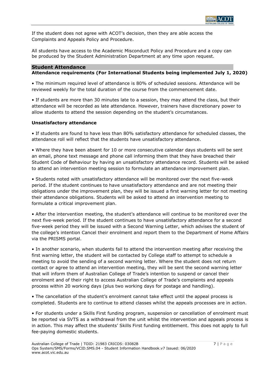

If the student does not agree with ACOT's decision, then they are able access the Complaints and Appeals Policy and Procedure.

All students have access to the Academic Misconduct Policy and Procedure and a copy can be produced by the Student Administration Department at any time upon request.

#### **Student Attendance Attendance requirements (For International Students being implemented July 1, 2020)**

• The minimum required level of attendance is 80% of scheduled sessions. Attendance will be reviewed weekly for the total duration of the course from the commencement date.

• If students are more than 30 minutes late to a session, they may attend the class, but their attendance will be recorded as late attendance. However, trainers have discretionary power to allow students to attend the session depending on the student's circumstances.

# **Unsatisfactory attendance**

• If students are found to have less than 80% satisfactory attendance for scheduled classes, the attendance roll will reflect that the students have unsatisfactory attendance.

• Where they have been absent for 10 or more consecutive calendar days students will be sent an email, phone text message and phone call informing them that they have breached their Student Code of Behaviour by having an unsatisfactory attendance record. Students will be asked to attend an intervention meeting session to formulate an attendance improvement plan.

• Students noted with unsatisfactory attendance will be monitored over the next five-week period. If the student continues to have unsatisfactory attendance and are not meeting their obligations under the improvement plan, they will be issued a first warning letter for not meeting their attendance obligations. Students will be asked to attend an intervention meeting to formulate a critical improvement plan.

• After the intervention meeting, the student's attendance will continue to be monitored over the next five-week period. If the student continues to have unsatisfactory attendance for a second five-week period they will be issued with a Second Warning Letter, which advises the student of the college's intention Cancel their enrolment and report them to the Department of Home Affairs via the PRISMS portal.

• In another scenario, when students fail to attend the intervention meeting after receiving the first warning letter, the student will be contacted by College staff to attempt to schedule a meeting to avoid the sending of a second warning letter. Where the student does not return contact or agree to attend an intervention meeting, they will be sent the second warning letter that will inform them of Australian College of Trade's intention to suspend or cancel their enrolment and of their right to access Australian College of Trade's complaints and appeals process within 20 working days (plus two working days for postage and handling).

• The cancellation of the student's enrolment cannot take effect until the appeal process is completed. Students are to continue to attend classes whilst the appeals processes are in action.

• For students under a Skills First funding program, suspension or cancellation of enrolment must be reported via SVTS as a withdrawal from the unit whilst the intervention and appeals process is in action. This may affect the students' Skills First funding entitlement. This does not apply to full fee-paying domestic students.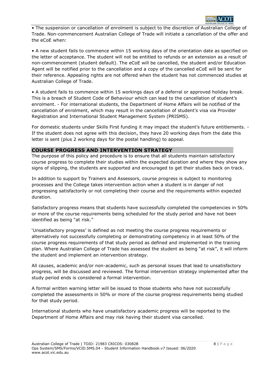

• The suspension or cancellation of enrolment is subject to the discretion of Australian College of Trade. Non-commencement Australian College of Trade will initiate a cancellation of the offer and the eCoE when:

• A new student fails to commence within 15 working days of the orientation date as specified on the letter of acceptance. The student will not be entitled to refunds or an extension as a result of non-commencement (student default). The eCoE will be cancelled, the student and/or Education Agent will be notified prior to the cancellation and a copy of the cancelled eCoE will be sent for their reference. Appealing rights are not offered when the student has not commenced studies at Australian College of Trade.

• A student fails to commence within 15 workings days of a deferral or approved holiday break. This is a breach of Student Code of Behaviour which can lead to the cancellation of student's enrolment. - For international students, the Department of Home Affairs will be notified of the cancellation of enrolment, which may result in the cancellation of student's visa via Provider Registration and International Student Management System (PRISMS).

For domestic students under Skills First funding it may impact the student's future entitlements. -If the student does not agree with this decision, they have 20 working days from the date this letter is sent (plus 2 working days for the postal handling) to appeal.

#### **COURSE PROGRESS AND INTERVENTION STRATEGY**

The purpose of this policy and procedure is to ensure that all students maintain satisfactory course progress to complete their studies within the expected duration and where they show any signs of slipping, the students are supported and encouraged to get their studies back on track.

In addition to support by Trainers and Assessors, course progress is subject to monitoring processes and the College takes intervention action when a student is in danger of not progressing satisfactorily or not completing their course and the requirements within expected duration.

Satisfactory progress means that students have successfully completed the competencies in 50% or more of the course requirements being scheduled for the study period and have not been identified as being "at risk."

'Unsatisfactory progress' is defined as not meeting the course progress requirements or alternatively not successfully completing or demonstrating competency in at least 50% of the course progress requirements of that study period as defined and implemented in the training plan. Where Australian College of Trade has assessed the student as being "at risk", it will inform the student and implement an intervention strategy.

All causes, academic and/or non-academic, such as personal issues that lead to unsatisfactory progress, will be discussed and reviewed. The formal intervention strategy implemented after the study period ends is considered a formal intervention.

A formal written warning letter will be issued to those students who have not successfully completed the assessments in 50% or more of the course progress requirements being studied for that study period.

International students who have unsatisfactory academic progress will be reported to the Department of Home Affairs and may risk having their student visa cancelled.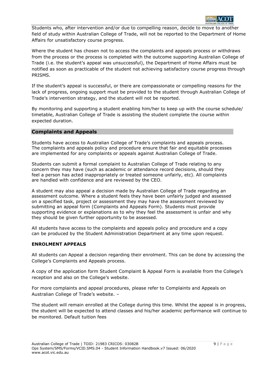

Students who, after intervention and/or due to compelling reason, decide to move to another field of study within Australian College of Trade, will not be reported to the Department of Home Affairs for unsatisfactory course progress.

Where the student has chosen not to access the complaints and appeals process or withdraws from the process or the process is completed with the outcome supporting Australian College of Trade (i.e. the student's appeal was unsuccessful), the Department of Home Affairs must be notified as soon as practicable of the student not achieving satisfactory course progress through PRISMS.

If the student's appeal is successful, or there are compassionate or compelling reasons for the lack of progress, ongoing support must be provided to the student through Australian College of Trade's intervention strategy, and the student will not be reported.

By monitoring and supporting a student enabling him/her to keep up with the course schedule/ timetable, Australian College of Trade is assisting the student complete the course within expected duration.

#### **Complaints and Appeals**

Students have access to Australian College of Trade's complaints and appeals process. The complaints and appeals policy and procedure ensure that fair and equitable processes are implemented for any complaints or appeals against Australian College of Trade.

Students can submit a formal complaint to Australian College of Trade relating to any concern they may have (such as academic or attendance record decisions, should they feel a person has acted inappropriately or treated someone unfairly, etc). All complaints are handled with confidence and are reviewed by the CEO.

A student may also appeal a decision made by Australian College of Trade regarding an assessment outcome. Where a student feels they have been unfairly judged and assessed on a specified task, project or assessment they may have the assessment reviewed by submitting an appeal form (Complaints and Appeals Form). Students must provide supporting evidence or explanations as to why they feel the assessment is unfair and why they should be given further opportunity to be assessed.

All students have access to the complaints and appeals policy and procedure and a copy can be produced by the Student Administration Department at any time upon request.

#### **ENROLMENT APPEALS**

All students can Appeal a decision regarding their enrolment. This can be done by accessing the College's Complaints and Appeals process.

A copy of the application form Student Complaint & Appeal Form is available from the College's reception and also on the College's website.

For more complaints and appeal procedures, please refer to Complaints and Appeals on Australian College of Trade's website. –

The student will remain enrolled at the College during this time. Whilst the appeal is in progress, the student will be expected to attend classes and his/her academic performance will continue to be monitored. Default tuition fees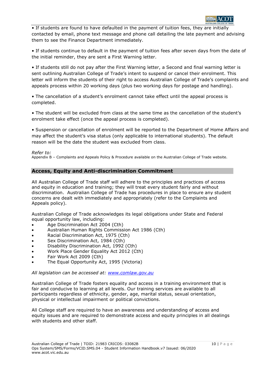

• If students are found to have defaulted in the payment of tuition fees, they are initially contacted by email, phone text message and phone call detailing the late payment and advising them to see the Finance Department immediately.

• If students continue to default in the payment of tuition fees after seven days from the date of the initial reminder, they are sent a First Warning letter.

• If students still do not pay after the First Warning letter, a Second and final warning letter is sent outlining Australian College of Trade's intent to suspend or cancel their enrolment. This letter will inform the students of their right to access Australian College of Trade's complaints and appeals process within 20 working days (plus two working days for postage and handling).

• The cancellation of a student's enrolment cannot take effect until the appeal process is completed.

• The student will be excluded from class at the same time as the cancellation of the student's enrolment take effect (once the appeal process is completed).

• Suspension or cancellation of enrolment will be reported to the Department of Home Affairs and may affect the student's visa status (only applicable to international students). The default reason will be the date the student was excluded from class.

#### *Refer to:*

Appendix B – Complaints and Appeals Policy & Procedure available on the Australian College of Trade website.

# **Access, Equity and Anti-discrimination Commitment**

All Australian College of Trade staff will adhere to the principles and practices of access and equity in education and training; they will treat every student fairly and without discrimination. Australian College of Trade has procedures in place to ensure any student concerns are dealt with immediately and appropriately (refer to the Complaints and Appeals policy).

Australian College of Trade acknowledges its legal obligations under State and Federal equal opportunity law, including:

- Age Discrimination Act 2004 (Cth)
- Australian Human Rights Commission Act 1986 (Cth)
- Racial Discrimination Act, 1975 (Cth)
- Sex Discrimination Act, 1984 (Cth)
- Disability Discrimination Act, 1992 (Cth)
- Work Place Gender Equality Act 2012 (Cth)
- Fair Work Act 2009 (Cth)
- The Equal Opportunity Act, 1995 (Victoria)

#### *All legislation can be accessed at: [www.comlaw.gov.au](file://///Jamesoffice/NTS%20Office/Work%20In%20Progress/New%20Edge%20Training/New%20Edge%20-%20May%20)*

Australian College of Trade fosters equality and access in a training environment that is fair and conducive to learning at all levels. Our training services are available to all participants regardless of ethnicity, gender, age, marital status, sexual orientation, physical or intellectual impairment or political convictions.

All College staff are required to have an awareness and understanding of access and equity issues and are required to demonstrate access and equity principles in all dealings with students and other staff.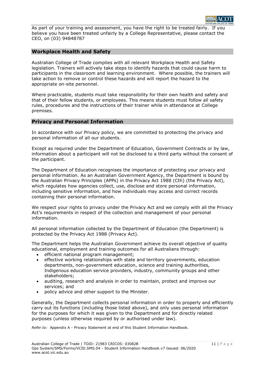As part of your training and assessment, you have the right to be treated fairly. If you believe you have been treated unfairly by a College Representative, please contact the CEO, on (03) 94848787

# **Workplace Health and Safety**

Australian College of Trade complies with all relevant Workplace Health and Safety legislation. Trainers will actively take steps to identify hazards that could cause harm to participants in the classroom and learning environment. Where possible, the trainers will take action to remove or control these hazards and will report the hazard to the appropriate on-site personnel.

Where practicable, students must take responsibility for their own health and safety and that of their fellow students, or employees. This means students must follow all safety rules, procedures and the instructions of their trainer while in attendance at College premises.

# **Privacy and Personal Information**

In accordance with our Privacy policy, we are committed to protecting the privacy and personal information of all our students.

Except as required under the Department of Education, Government Contracts or by law, information about a participant will not be disclosed to a third party without the consent of the participant.

The Department of Education recognises the importance of protecting your privacy and personal information. As an Australian Government Agency, the Department is bound by the Australian Privacy Principles (APPs) in the Privacy Act 1988 (Cth) (the Privacy Act), which regulates how agencies collect, use, disclose and store personal information, including sensitive information, and how individuals may access and correct records containing their personal information.

We respect your rights to privacy under the Privacy Act and we comply with all the Privacy Act's requirements in respect of the collection and management of your personal information.

All personal information collected by the Department of Education (the Department) is protected by the Privacy Act 1988 (Privacy Act).

The Department helps the Australian Government achieve its overall objective of quality educational, employment and training outcomes for all Australians through:

- efficient national program management;
- effective working relationships with state and territory governments, education departments, non-government education, science and training authorities, Indigenous education service providers, industry, community groups and other stakeholders;
- auditing, research and analysis in order to maintain, protect and improve our services; and
- policy advice and other support to the Minister.

Generally, the Department collects personal information in order to properly and efficiently carry out its functions (including those listed above), and only uses personal information for the purposes for which it was given to the Department and for directly related purposes (unless otherwise required by or authorised under law).

*Refer to:* Appendix A - Privacy Statement at end of this Student Information Handbook.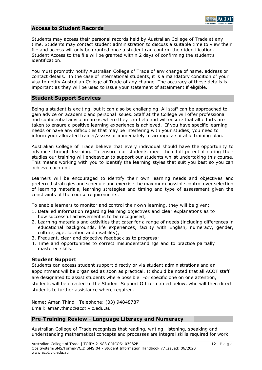#### **Access to Student Records**

Students may access their personal records held by Australian College of Trade at any time. Students may contact student administration to discuss a suitable time to view their file and access will only be granted once a student can confirm their identification. Student Access to the file will be granted within 2 days of confirming the student's identification.

You must promptly notify Australian College of Trade of any change of name, address or contact details. In the case of international students, it is a mandatory condition of your visa to notify Australian College of Trade of any change. The accuracy of these details is important as they will be used to issue your statement of attainment if eligible.

#### **Student Support Services**

Being a student is exciting, but it can also be challenging. All staff can be approached to gain advice on academic and personal issues. Staff at the College will offer professional and confidential advice in areas where they can help and will ensure that all efforts are taken to ensure a positive learning experience is achieved. If you have specific learning needs or have any difficulties that may be interfering with your studies, you need to inform your allocated trainer/assessor immediately to arrange a suitable training plan.

Australian College of Trade believe that every individual should have the opportunity to advance through learning. To ensure our students meet their full potential during their studies our training will endeavour to support our students whilst undertaking this course. This means working with you to identify the learning styles that suit you best so you can achieve each unit.

Learners will be encouraged to identify their own learning needs and objectives and preferred strategies and schedule and exercise the maximum possible control over selection of learning materials, learning strategies and timing and type of assessment given the constraints of the course requirements.

To enable learners to monitor and control their own learning, they will be given;

- 1. Detailed information regarding learning objectives and clear explanations as to how successful achievement is to be recognised;
- 2. Learning materials and activities that cater for a range of needs (including differences in educational backgrounds, life experiences, facility with English, numeracy, gender, culture, age, location and disability);
- 3. Frequent, clear and objective feedback as to progress;
- 4. Time and opportunities to correct misunderstandings and to practice partially mastered skills.

# **Student Support**

Students can access student support directly or via student administrations and an appointment will be organised as soon as practical. It should be noted that all ACOT staff are designated to assist students where possible. For specific one on one attention, students will be directed to the Student Support Officer named below, who will then direct students to further assistance where required.

Name: Aman Thind Telephone: (03) 94848787 Email: aman.thind@acot.vic.edu.au

# **Pre-Training Review - Language Literacy and Numeracy**

Australian College of Trade recognises that reading, writing, listening, speaking and understanding mathematical concepts and processes are integral skills required for work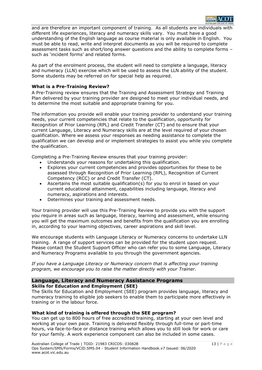

and are therefore an important component of training. As all students are individuals with different life experiences, literacy and numeracy skills vary. You must have a good understanding of the English language as course material is only available in English. You must be able to read, write and interpret documents as you will be required to complete assessment tasks such as short/long answer questions and the ability to complete forms – such as 'incident forms' and related forms.

As part of the enrolment process, the student will need to complete a language, literacy and numeracy (LLN) exercise which will be used to assess the LLN ability of the student. Some students may be referred on for special help as required.

#### **What is a Pre-Training Review?**

A Pre-Training review ensures that the Training and Assessment Strategy and Training Plan delivered by your training provider are designed to meet your individual needs, and to determine the most suitable and appropriate training for you.

The information you provide will enable your training provider to understand your training needs, your current competencies that relate to the qualification, opportunity for Recognition of Prior Learning (RPL) and Credit Transfer (CT) and to ensure that your current Language, Literacy and Numeracy skills are at the level required of your chosen qualification. Where we assess your responses as needing assistance to complete the qualification we can develop and or implement strategies to assist you while you complete the qualification.

Completing a Pre-Training Review ensures that your training provider:

- Understands your reasons for undertaking this qualification.
- Explores your current competencies and provides opportunities for these to be assessed through Recognition of Prior Learning (RPL), Recognition of Current Competency (RCC) or and Credit Transfer (CT).
- Ascertains the most suitable qualification(s) for you to enrol in based on your current educational attainment, capabilities including language, literacy and numeracy, aspirations and interests.
- Determines your training and assessment needs.

Your training provider will use this Pre-Training Review to provide you with the support you require in areas such as language, literacy, learning and assessment, while ensuring you will get the maximum outcomes and benefits from the qualification you are enrolling in, according to your learning objectives, career aspirations and skill level.

We encourage students with Language Literacy or Numeracy concerns to undertake LLN training. A range of support services can be provided for the student upon request. Please contact the Student Support Officer who can refer you to some Language, Literacy and Numeracy Programs available to you through the government agencies.

*If you have a Language Literacy or Numeracy concern that is affecting your training program, we encourage you to raise the matter directly with your Trainer.*

#### **Language, Literacy and Numeracy Assistance Programs Skills for Education and Employment (SEE)**

The Skills for Education and Employment (SEE) program provides language, literacy and numeracy training to eligible job seekers to enable them to participate more effectively in training or in the labour force.

# **What kind of training is offered through the SEE program?**

You can get up to 800 hours of free accredited training, starting at your own level and working at your own pace. Training is delivered flexibly through full-time or part-time hours, via face-to-face or distance training which allows you to still look for work or care for your family. A work experience component can also be included in some cases.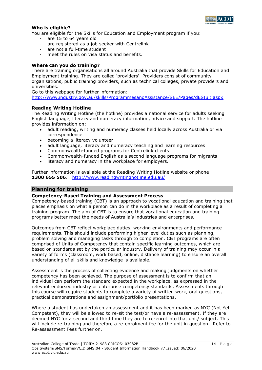

#### **Who is eligible?**

You are eligible for the Skills for Education and Employment program if you:

- are 15 to 64 years old
- are registered as a job seeker with Centrelink
- are not a full-time student
- meet the rules on visa status and benefits.

#### **Where can you do training?**

There are training organisations all around Australia that provide Skills for Education and Employment training. They are called 'providers'. Providers consist of community organisations, public training providers, such as technical colleges, private providers and universities.

Go to this webpage for further information:

[http://www.industry.gov.au/skills/ProgrammesandAssistance/SEE/Pages/dESIult.aspx](http://www.industry.gov.au/skills/ProgrammesandAssistance/SEE/Pages/default.aspx)

#### **Reading Writing Hotline**

The Reading Writing Hotline (the hotline) provides a national service for adults seeking English language, literacy and numeracy information, advice and support. The hotline provides information on:

- adult reading, writing and numeracy classes held locally across Australia or via correspondence
- becoming a literacy volunteer
- adult language, literacy and numeracy teaching and learning resources
- Commonwealth-funded programs for Centrelink clients
- Commonwealth-funded English as a second language programs for migrants
- literacy and numeracy in the workplace for employers.

Further information is available at the Reading Writing Hotline website or phone **1300 655 506**. <http://www.readingwritinghotline.edu.au/>

# **Planning for training**

#### **Competency-Based Training and Assessment Process**

Competency-based training (CBT) is an approach to vocational education and training that places emphasis on what a person can do in the workplace as a result of completing a training program. The aim of CBT is to ensure that vocational education and training programs better meet the needs of Australia's industries and enterprises.

Outcomes from CBT reflect workplace duties, working environments and performance requirements. This should include performing higher level duties such as planning, problem solving and managing tasks through to completion. CBT programs are often comprised of Units of Competency that contain specific learning outcomes, which are based on standards set by the particular industry. Delivery of training may occur in a variety of forms (classroom, work based, online, distance learning) to ensure an overall understanding of all skills and knowledge is available.

Assessment is the process of collecting evidence and making judgments on whether competency has been achieved. The purpose of assessment is to confirm that an individual can perform the standard expected in the workplace, as expressed in the relevant endorsed industry or enterprise competency standards. Assessments through this course will require students to complete a variety of written work, oral questions, practical demonstrations and assignment/portfolio presentations.

Where a student has undertaken an assessment and it has been marked as NYC (Not Yet Competent), they will be allowed to re-sit the test/or have a re-assessment. If they are deemed NYC for a second and third time they are to re-enrol into that unit/ subject. This will include re-training and therefore a re-enrolment fee for the unit in question. Refer to Re-assessment Fees further on.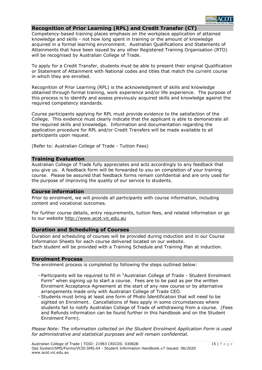# **Recognition of Prior Learning (RPL) and Credit Transfer (CT)**

Competency-based training places emphasis on the workplace application of attained knowledge and skills - not how long spent in training or the amount of knowledge acquired in a formal learning environment. Australian Qualifications and Statements of Attainments that have been issued by any other Registered Training Organisation (RTO) will be recognised by Australian College of Trade.

To apply for a Credit Transfer, students must be able to present their original Qualification or Statement of Attainment with National codes and titles that match the current course in which they are enrolled.

Recognition of Prior Learning (RPL) is the acknowledgment of skills and knowledge obtained through formal training, work experience and/or life experience. The purpose of this process is to identify and assess previously acquired skills and knowledge against the required competency standards.

Course participants applying for RPL must provide evidence to the satisfaction of the College. This evidence must clearly indicate that the applicant is able to demonstrate all the required skills and knowledge. Information and documentation regarding the application procedure for RPL and/or Credit Transfers will be made available to all participants upon request.

(Refer to: Australian College of Trade - Tuition Fees)

#### **Training Evaluation**

Australian College of Trade fully appreciates and acts accordingly to any feedback that you give us. A feedback form will be forwarded to you on completion of your training course. Please be assured that feedback forms remain confidential and are only used for the purpose of improving the quality of our service to students.

#### **Course information**

Prior to enrolment, we will provide all participants with course information, including content and vocational outcomes.

For further course details, entry requirements, tuition fees, and related information or go to our website http://www.acot.vic.edu.au

### **Duration and Scheduling of Courses**

Duration and scheduling of courses will be provided during induction and in our Course Information Sheets for each course delivered located on our website. Each student will be provided with a Training Schedule and Training Plan at induction.

#### **Enrolment Process**

The enrolment process is completed by following the steps outlined below:

- Participants will be required to fill in "Australian College of Trade Student Enrolment Form" when signing up to start a course. Fees are to be paid as per the written Enrolment Acceptance Agreement at the start of any new course or by alternative arrangements made only with Australian College of Trade CEO.
- Students must bring at least one form of Photo Identification that will need to be sighted on Enrolment. Cancellations of fees apply in some circumstances where students fail to notify Australian College of Trade of withdrawing from a course. (Fees and Refunds information can be found further in this handbook and on the Student Enrolment Form).

*Please Note: The information collected on the Student Enrolment Application Form is used for administrative and statistical purposes and will remain confidential.*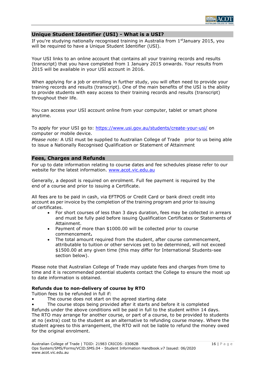

#### **Unique Student Identifier (USI) - What is a USI?**

If you're studying nationally recognised training in Australia from 1<sup>st</sup>January 2015, you will be required to have a Unique Student Identifier (USI).

Your USI links to an online account that contains all your training records and results (transcript) that you have completed from 1 January 2015 onwards. Your results from 2015 will be available in your USI account in 2016.

When applying for a job or enrolling in further study, you will often need to provide your training records and results (transcript). One of the main benefits of the USI is the ability to provide students with easy access to their training records and results (transcript) throughout their life.

You can access your USI account online from your computer, tablet or smart phone anytime.

To apply for your USI go to:<https://www.usi.gov.au/students/create-your-usi/> on computer or mobile device.

*Please note:* A USI must be supplied to Australian College of Trade prior to us being able to issue a Nationally Recognised Qualification or Statement of Attainment

#### **Fees, Charges and Refunds**

For up to date information relating to course dates and fee schedules please refer to our website for the latest information. [www.acot.vic.edu.au](http://www.acot.vic.edu.au/)

Generally, a deposit is required on enrolment. Full fee payment is required by the end of a course and prior to issuing a Certificate.

All fees are to be paid in cash, via EFTPOS or Credit Card or bank direct credit into account as per invoice by the completion of the training program and prior to issuing of certificates.

- For short courses of less than 3 days duration, fees may be collected in arrears and must be fully paid before issuing Qualification Certificates or Statements of Attainment.
- Payment of more than \$1000.00 will be collected prior to course commencement**.**
- The total amount required from the student, after course commencement, attributable to tuition or other services yet to be determined, will not exceed \$1500.00 at any given time (this may differ for International Students-see section below).

Please note that Australian College of Trade may update fees and charges from time to time and it is recommended potential students contact the College to ensure the most up to date information is obtained.

#### **Refunds due to non-delivery of course by RTO**

Tuition fees to be refunded in full if:

- The course does not start on the agreed starting date
- The course stops being provided after it starts and before it is completed

Refunds under the above conditions will be paid in full to the student within 14 days. The RTO may arrange for another course, or part of a course, to be provided to students at no (extra) cost to the student as an alternative to refunding course money. Where the student agrees to this arrangement, the RTO will not be liable to refund the money owed for the original enrolment.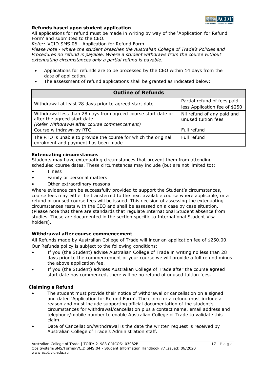

#### **Refunds based upon student application**

All applications for refund must be made in writing by way of the 'Application for Refund Form' and submitted to the CEO.

*Refer:* VCID.SMS.06 - Application for Refund Form

*Please note - where the student breaches the Australian College of Trade's Policies and Procedures no refund is payable. Where a student withdraws from the course without extenuating circumstances only a partial refund is payable.*

- Applications for refunds are to be processed by the CEO within 14 days from the date of application.
- The assessment of refund applications shall be granted as indicated below:

| <b>Outline of Refunds</b>                                                                                                                    |                                                              |  |  |  |  |
|----------------------------------------------------------------------------------------------------------------------------------------------|--------------------------------------------------------------|--|--|--|--|
| Withdrawal at least 28 days prior to agreed start date                                                                                       | Partial refund of fees paid<br>less Application fee of \$250 |  |  |  |  |
| Withdrawal less than 28 days from agreed course start date or<br>after the agreed start date<br>(Refer Withdrawal after course commencement) | Nil refund of any paid and<br>unused tuition fees            |  |  |  |  |
| Course withdrawn by RTO                                                                                                                      | Full refund                                                  |  |  |  |  |
| The RTO is unable to provide the course for which the original<br>enrolment and payment has been made                                        | Full refund                                                  |  |  |  |  |

#### **Extenuating circumstances**

Students may have extenuating circumstances that prevent them from attending scheduled course dates. These circumstances may include (but are not limited to):

- **Illness**
- Family or personal matters
- Other extraordinary reasons

Where evidence can be successfully provided to support the Student's circumstances, course fees may either be transferred to the next available course where applicable, or a refund of unused course fees will be issued. This decision of assessing the extenuating circumstances rests with the CEO and shall be assessed on a case by case situation. (Please note that there are standards that regulate International Student absence from studies. These are documented in the section specific to International Student Visa holders).

#### **Withdrawal after course commencement**

All Refunds made by Australian College of Trade will incur an application fee of \$250.00. Our Refunds policy is subject to the following conditions:

- If you (the Student) advise Australian College of Trade in writing no less than 28 days prior to the commencement of your course we will provide a full refund minus the above application fee.
- If you (the Student) advises Australian College of Trade after the course agreed start date has commenced, there will be no refund of unused tuition fees.

#### **Claiming a Refund**

- The student must provide their notice of withdrawal or cancellation on a signed and dated 'Application for Refund Form'. The claim for a refund must include a reason and must include supporting official documentation of the student's circumstances for withdrawal/cancellation plus a contact name, email address and telephone/mobile number to enable Australian College of Trade to validate this claim.
- Date of Cancellation/Withdrawal is the date the written request is received by Australian College of Trade's Administration staff.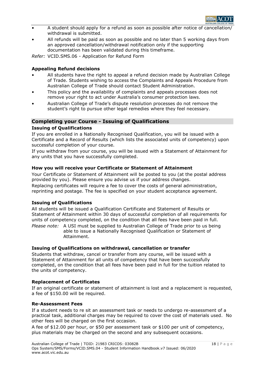

- A student should apply for a refund as soon as possible after notice of cancellation/ withdrawal is submitted.
- All refunds will be paid as soon as possible and no later than 5 working days from an approved cancellation/withdrawal notification only if the supporting documentation has been validated during this timeframe.

*Refer:* VCID.SMS.06 - Application for Refund Form

### **Appealing Refund decisions**

- All students have the right to appeal a refund decision made by Australian College of Trade. Students wishing to access the Complaints and Appeals Procedure from Australian College of Trade should contact Student Administration.
- This policy and the availability of complaints and appeals processes does not remove your right to act under Australia's consumer protection laws.
- Australian College of Trade's dispute resolution processes do not remove the student's right to pursue other legal remedies where they feel necessary.

# **Completing your Course - Issuing of Qualifications**

#### **Issuing of Qualifications**

If you are enrolled in a Nationally Recognised Qualification, you will be issued with a Certificate and a Record of Results (which lists the associated units of competency) upon successful completion of your course.

If you withdraw from your course, you will be issued with a Statement of Attainment for any units that you have successfully completed.

#### **How you will receive your Certificate or Statement of Attainment**

Your Certificate or Statement of Attainment will be posted to you (at the postal address provided by you). Please ensure you advise us if your address changes.

Replacing certificates will require a fee to cover the costs of general administration, reprinting and postage. The fee is specified on your student acceptance agreement.

#### **Issuing of Qualifications**

All students will be issued a Qualification Certificate and Statement of Results or Statement of Attainment within 30 days of successful completion of all requirements for units of competency completed, on the condition that all fees have been paid in full. *Please note:* A USI must be supplied to Australian College of Trade prior to us being

able to issue a Nationally Recognised Qualification or Statement of Attainment.

#### **Issuing of Qualifications on withdrawal, cancellation or transfer**

Students that withdraw, cancel or transfer from any course, will be issued with a Statement of Attainment for all units of competency that have been successfully completed, on the condition that all fees have been paid in full for the tuition related to the units of competency.

#### **Replacement of Certificates**

If an original certificate or statement of attainment is lost and a replacement is requested, a fee of \$150.00 will be required.

#### **Re-Assessment Fees**

If a student needs to re sit an assessment task or needs to undergo re-assessment of a practical task, additional charges may be required to cover the cost of materials used. No other fees will be charged on the first occasion.

A fee of \$12.00 per hour, or \$50 per assessment task or \$100 per unit of competency, plus materials may be charged on the second and any subsequent occasions.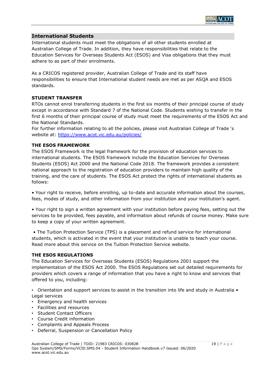

# **International Students**

International students must meet the obligations of all other students enrolled at Australian College of Trade. In addition, they have responsibilities that relate to the Education Services for Overseas Students Act (ESOS) and Visa obligations that they must adhere to as part of their enrolments.

As a CRICOS registered provider, Australian College of Trade and its staff have responsibilities to ensure that International student needs are met as per ASQA and ESOS standards.

#### **STUDENT TRANSFER**

RTOs cannot enrol transferring students in the first six months of their principal course of study except in accordance with Standard 7 of the National Code. Students wishing to transfer in the first 6 months of their principal course of study must meet the requirements of the ESOS Act and the National Standards.

For further information relating to all the policies, please visit Australian College of Trade 's website at: [https://www.acot.vic.edu.au/policies/](https://www.baxter.vic.edu.au/policies/)

#### **THE ESOS FRAMEWORK**

The ESOS Framework is the legal framework for the provision of education services to international students. The ESOS framework include the Education Services for Overseas Students (ESOS) Act 2000 and the National Code 2018. The framework provides a consistent national approach to the registration of education providers to maintain high quality of the training, and the care of students. The ESOS Act protect the rights of international students as follows:

• Your right to receive, before enrolling, up to-date and accurate information about the courses, fees, modes of study, and other information from your institution and your institution's agent.

• Your right to sign a written agreement with your institution before paying fees, setting out the services to be provided, fees payable, and information about refunds of course money. Make sure to keep a copy of your written agreement.

• The Tuition Protection Service (TPS) is a placement and refund service for international students, which is activated in the event that your institution is unable to teach your course. Read more about this service on the Tuition Protection Service website.

#### **THE ESOS REGULATIONS**

The Education Services for Overseas Students (ESOS) Regulations 2001 support the implementation of the ESOS Act 2000. The ESOS Regulations set out detailed requirements for providers which covers a range of information that you have a right to know and services that offered to you, including:

• Orientation and support services to assist in the transition into life and study in Australia • Legal services

- Emergency and health services
- Facilities and resources
- Student Contact Officers
- Course Credit information
- Complaints and Appeals Process
- Deferral, Suspension or Cancellation Policy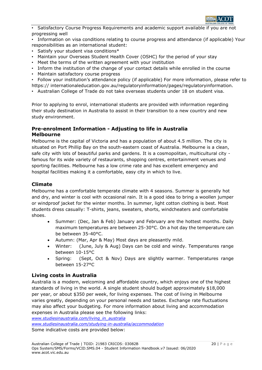

• Satisfactory Course Progress Requirements and academic support available if you are not progressing well

• Information on visa conditions relating to course progress and attendance (if applicable) Your responsibilities as an international student:

- Satisfy your student visa conditions\*
- Maintain your Overseas Student Health Cover (OSHC) for the period of your stay
- Meet the terms of the written agreement with your institution
- Inform the institution of the change of your contact details while enrolled in the course
- Maintain satisfactory course progress

• Follow your institution's attendance policy (if applicable) For more information, please refer to https:// internationaleducation.gov.au/regulatoryinformation/pages/regulatoryinformation.

• Australian College of Trade do not take overseas students under 18 on student visa.

Prior to applying to enrol, international students are provided with information regarding their study destination in Australia to assist in their transition to a new country and new study environment.

# **Pre-enrolment Information - Adjusting to life in Australia Melbourne**

Melbourne is the capital of Victoria and has a population of about 4.5 million. The city is situated on Port Phillip Bay on the south-eastern coast of Australia. Melbourne is a clean, safe city with lots of beautiful parks and gardens. It is a cosmopolitan, multicultural city famous for its wide variety of restaurants, shopping centres, entertainment venues and sporting facilities. Melbourne has a low crime rate and has excellent emergency and hospital facilities making it a comfortable, easy city in which to live.

# **Climate**

Melbourne has a comfortable temperate climate with 4 seasons. Summer is generally hot and dry, and winter is cool with occasional rain. It is a good idea to bring a woollen jumper or windproof jacket for the winter months. In summer, light cotton clothing is best. Most students dress casually: T-shirts, jeans, sweaters, shorts, windcheaters and comfortable shoes.

- Summer: (Dec, Jan & Feb) January and February are the hottest months. Daily maximum temperatures are between 25-30°C. On a hot day the temperature can be between 35-40°C.
- Autumn: (Mar, Apr & May) Most days are pleasantly mild.
- Winter: (June, July & Aug) Days can be cold and windy. Temperatures range between 10-15°C
- Spring: (Sept, Oct & Nov) Days are slightly warmer. Temperatures range between 15-27°C

# **Living costs in Australia**

Australia is a modern, welcoming and affordable country, which enjoys one of the highest standards of living in the world. A single student should budget approximately \$18,000 per year, or about \$350 per week, for living expenses. The cost of living in Melbourne varies greatly, depending on your personal needs and tastes. Exchange rate fluctuations may also affect your budgeting. For more information about living and accommodation expenses in Australia please see the following links:

*[www.studiesinaustralia.com/living\\_in\\_australia](http://www.studiesinaustralia.com/living_in_australia) [www.studiesinaustralia.com/studying-in-australia/accommodation](http://www.studiesinaustralia.com/studying-in-australia/accommodation)* Some indicative costs are provided below: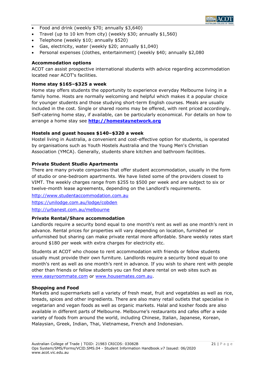

- Food and drink (weekly \$70; annually \$3,640)
- Travel (up to 10 km from city) (weekly \$30; annually \$1,560)
- Telephone (weekly \$10; annually \$520)
- Gas, electricity, water (weekly \$20; annually \$1,040)
- Personal expenses (clothes, entertainment) (weekly \$40; annually \$2,080

### **Accommodation options**

ACOT can assist prospective international students with advice regarding accommodation located near ACOT's facilities.

#### **Home stay \$165–\$325 a week**

Home stay offers students the opportunity to experience everyday Melbourne living in a family home. Hosts are normally welcoming and helpful which makes it a popular choice for younger students and those studying short-term English courses. Meals are usually included in the cost. Single or shared rooms may be offered, with rent priced accordingly. Self-catering home stay, if available, can be particularly economical. For details on how to arrange a home stay see **[http://homestaynetwork.org](http://homestaynetwork.org/)**

#### **Hostels and guest houses \$140–\$320 a week**

Hostel living in Australia, a convenient and cost-effective option for students, is operated by organisations such as Youth Hostels Australia and the Young Men's Christian Association (YMCA). Generally, students share kitchen and bathroom facilities.

#### **Private Student Studio Apartments**

There are many private companies that offer student accommodation, usually in the form of studio or one-bedroom apartments. We have listed some of the providers closest to VIMT. The weekly charges range from \$255 to \$500 per week and are subject to six or twelve-month lease agreements, depending on the Landlord's requirements.

[http://www.studentaccommodation.com.au](http://www.studentaccommodation.com.au/) <https://unilodge.com.au/lodge/cobden> <http://urbanest.com.au/melbourne>

# **Private Rental/Share accommodation**

Landlords require a security bond equal to one month's rent as well as one month's rent in advance. Rental prices for properties will vary depending on location, furnished or unfurnished but sharing can make private rental more affordable. Share weekly rates start around \$180 per week with extra charges for electricity etc.

Students at ACOT who choose to rent accommodation with friends or fellow students usually must provide their own furniture. Landlords require a security bond equal to one month's rent as well as one month's rent in advance. If you wish to share rent with people other than friends or fellow students you can find share rental on web sites such as [www.easyroommate.com](http://www.easyroommate.com/) or [www.housemates.com.au.](http://www.housemates.com.au/)

#### **Shopping and Food**

Markets and supermarkets sell a variety of fresh meat, fruit and vegetables as well as rice, breads, spices and other ingredients. There are also many retail outlets that specialise in vegetarian and vegan foods as well as organic markets. Halal and kosher foods are also available in different parts of Melbourne. Melbourne's restaurants and cafes offer a wide variety of foods from around the world, including Chinese, Italian, Japanese, Korean, Malaysian, Greek, Indian, Thai, Vietnamese, French and Indonesian.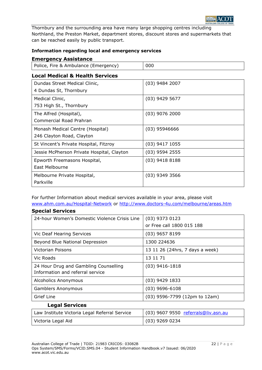

Thornbury and the surrounding area have many large shopping centres including Northland, the Preston Market, department stores, discount stores and supermarkets that can be reached easily by public transport.

# **Information regarding local and emergency services**

# **Emergency Assistance**

**Special Services**

| Police, Fire & Ambulance (Emergency) | 000 |
|--------------------------------------|-----|
|                                      |     |

# **Local Medical & Health Services**

| $(03)$ 9484 2007 |
|------------------|
|                  |
|                  |
| $(03)$ 9429 5677 |
|                  |
| $(03)$ 9076 2000 |
|                  |
| $(03)$ 95946666  |
|                  |
| $(03)$ 9417 1055 |
| $(03)$ 9594 2555 |
| $(03)$ 9418 8188 |
|                  |
| $(03)$ 9349 3566 |
|                  |
|                  |

For further Information about medical services available in your area, please visit [www.ahm.com.au/Hospital-Network](http://www.ahm.com.au/Hospital-Network) or<http://www.doctors-4u.com/melbourne/areas.htm>

| ODCCIGI JEI VILES                             |                                     |
|-----------------------------------------------|-------------------------------------|
| 24-hour Women's Domestic Violence Crisis Line | $(03)$ 9373 0123                    |
|                                               | or Free call 1800 015 188           |
| Vic Deaf Hearing Services                     | $(03)$ 9657 8199                    |
| Beyond Blue National Depression               | 1300 224636                         |
| Victorian Poisons                             | 13 11 26 (24hrs, 7 days a week)     |
| Vic Roads                                     | 13 11 71                            |
| 24 Hour Drug and Gambling Counselling         | $(03)$ 9416-1818                    |
| Information and referral service              |                                     |
| <b>Alcoholics Anonymous</b>                   | $(03)$ 9429 1833                    |
| <b>Gamblers Anonymous</b>                     | $(03)$ 9696-6108                    |
| Grief Line                                    | (03) 9596-7799 (12pm to 12am)       |
| <b>Legal Services</b>                         |                                     |
| Law Institute Victoria Legal Referral Service | (03) 9607 9550 referrals@liv.asn.au |
| Victoria Legal Aid                            | $(03)$ 9269 0234                    |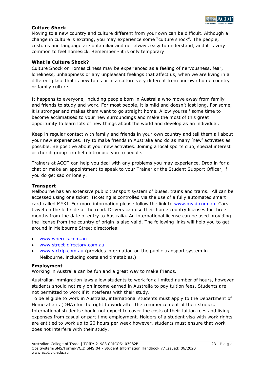# **Culture Shock**

Moving to a new country and culture different from your own can be difficult. Although a change in culture is exciting, you may experience some "culture shock". The people, customs and language are unfamiliar and not always easy to understand, and it is very common to feel homesick. Remember - it is only temporary!

### **What is Culture Shock?**

Culture Shock or Homesickness may be experienced as a feeling of nervousness, fear, loneliness, unhappiness or any unpleasant feelings that affect us, when we are living in a different place that is new to us or in a culture very different from our own home country or family culture.

It happens to everyone, including people born in Australia who move away from family and friends to study and work. For most people, it is mild and doesn't last long. For some, it is stronger and makes them want to go straight home. Allow yourself some time to become acclimatised to your new surroundings and make the most of this great opportunity to learn lots of new things about the world and develop as an individual.

Keep in regular contact with family and friends in your own country and tell them all about your new experiences. Try to make friends in Australia and do as many 'new' activities as possible. Be positive about your new activities. Joining a local sports club, special interest or church group can help introduce you to people.

Trainers at ACOT can help you deal with any problems you may experience. Drop in for a chat or make an appointment to speak to your Trainer or the Student Support Officer, if you do get sad or lonely.

#### **Transport**

Melbourne has an extensive public transport system of buses, trains and trams. All can be accessed using one ticket. Ticketing is controlled via the use of a fully automated smart card called MYKI. For more information please follow the link to [www.myki.com.au.](http://www.myki.com.au/) Cars travel on the left side of the road. Drivers can use their home country licenses for three months from the date of entry to Australia. An international license can be used providing the license from the country of origin is also valid. The following links will help you to get around in Melbourne Street directories:

- [www.whereis.com.au](http://www.whereis.com.au/)
- [www.street-directory.com.au](http://www.street-directory.com.au/)
- [www.victrip.com.au](http://www.victrip.com.au/) (provides information on the public transport system in Melbourne, including costs and timetables.)

#### **Employment**

Working in Australia can be fun and a great way to make friends.

Australian immigration laws allow students to work for a limited number of hours, however students should not rely on income earned in Australia to pay tuition fees. Students are not permitted to work if it interferes with their study.

To be eligible to work in Australia, international students must apply to the Department of Home affairs (DHA) for the right to work after the commencement of their studies. International students should not expect to cover the costs of their tuition fees and living expenses from casual or part time employment. Holders of a student visa with work rights are entitled to work up to 20 hours per week however, students must ensure that work does not interfere with their study.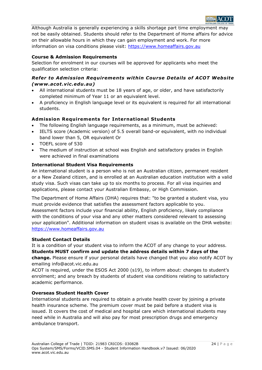

Although Australia is generally experiencing a skills shortage part time employment may not be easily obtained. Students should refer to the Department of Home affairs for advice on their allowable hours in which they can gain employment and work. For more information on visa conditions please visit: [https://www.homeaffairs.gov.au](https://www.homeaffairs.gov.au/)

# **Course & Admission Requirements**

Selection for enrolment in our courses will be approved for applicants who meet the qualification selection criteria:

# *Refer to Admission Requirements within Course Details of ACOT Website (www.acot.vic.edu.au)*

- All international students must be 18 years of age, or older, and have satisfactorily completed minimum of Year 11 or an equivalent level.
- A proficiency in English language level or its equivalent is required for all international students.

# **Adm ission Requirements for International Students**

- The following English language requirements, as a minimum, must be achieved:
- IELTS score (Academic version) of 5.5 overall band-or equivalent, with no individual band lower than 5, OR equivalent Or
- TOEFL score of 530
- The medium of instruction at school was English and satisfactory grades in English were achieved in final examinations

# **International Student Visa Requirements**

An international student is a person who is not an Australian citizen, permanent resident or a New Zealand citizen, and is enrolled at an Australian education institution with a valid study visa. Such visas can take up to six months to process. For all visa inquiries and applications, please contact your Australian Embassy, or High Commission.

The Department of Home Affairs (DHA) requires that: "to be granted a student visa, you must provide evidence that satisfies the assessment factors applicable to you. Assessment factors include your financial ability, English proficiency, likely compliance with the conditions of your visa and any other matters considered relevant to assessing your application". Additional information on student visas is available on the DHA website: [https://www.homeaffairs.gov.au](https://www.homeaffairs.gov.au/)

# **Student Contact Details**

It is a condition of your student visa to inform the ACOT of any change to your address. **Students MUST confirm and update the address details within 7 days of the change.** Please ensure if your personal details have changed that you also notify ACOT by emailing info@acot.vic.edu.au

ACOT is required, under the ESOS Act 2000 (s19), to inform about: changes to student's enrolment; and any breach by students of student visa conditions relating to satisfactory academic performance.

# **Overseas Student Health Cover**

International students are required to obtain a private health cover by joining a private health insurance scheme. The premium cover must be paid before a student visa is issued. It covers the cost of medical and hospital care which international students may need while in Australia and will also pay for most prescription drugs and emergency ambulance transport.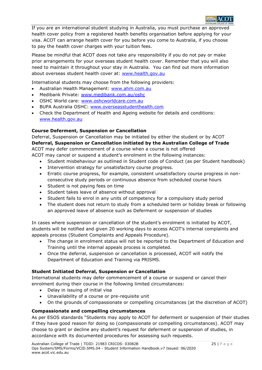

If you are an international student studying in Australia, you must purchase an approved health cover policy from a registered health benefits organisation before applying for your visa. ACOT can arrange health cover for you before you come to Australia, if you choose to pay the health cover charges with your tuition fees.

Please be mindful that ACOT does not take any responsibility if you do not pay or make prior arrangements for your overseas student health cover. Remember that you will also need to maintain it throughout your stay in Australia. You can find out more information about overseas student health cover at: [www.health.gov.au](http://www.health.gov.au/)

International students may choose from the following providers:

- Australian Health Management: [www.ahm.com.au](http://www.ahm.com.au/)
- Medibank Private: [www.medibank.com.au/oshc](http://www.medibank.com.au/oshc)
- OSHC World care: [www.oshcworldcare.com.au](http://www.oshcworldcare.com.au/)
- BUPA Australia OSHC: [www.overseasstudenthealth.com](file:///C:/Documents%20and%20Settings/rachel/My%20Documents/Downloads/www.overseasstudenthealth.com)
- Check the Department of Health and Ageing website for details and conditions: [www.health.gov.au](http://www.health.gov.au/)

# **Course Deferment, Suspension or Cancellation**

Deferral, Suspension or Cancellation may be initiated by either the student or by ACOT **Deferral, Suspension or Cancellation initiated by the Australian College of Trade**  ACOT may defer commencement of a course when a course is not offered

ACOT may cancel or suspend a student's enrolment in the following instances:

- Student misbehaviour as outlined in Student code of Conduct (as per Student handbook)
- Intervention strategy for unsatisfactory course progress.
- Erratic course progress, for example, consistent unsatisfactory course progress in nonconsecutive study periods or continuous absence from scheduled course hours
- Student is not paying fees on time
- Student takes leave of absence without approval
- Student fails to enrol in any units of competency for a compulsory study period
- The student does not return to study from a scheduled term or holiday break or following an approved leave of absence such as Deferment or suspension of studies

In cases where suspension or cancellation of the student's enrolment is initiated by ACOT, students will be notified and given 20 working days to access ACOT's internal complaints and appeals process (Student Complaints and Appeals Procedure).

- The change in enrolment status will not be reported to the Department of Education and Training until the internal appeals process is completed.
- Once the deferral, suspension or cancellation is processed, ACOT will notify the Department of Education and Training via PRISMS.

# **Student Initiated Deferral, Suspension or Cancellation**

International students may defer commencement of a course or suspend or cancel their enrolment during their course in the following limited circumstances:

- Delay in issuing of initial visa
- Unavailability of a course or pre-requisite unit
- On the grounds of compassionate or compelling circumstances (at the discretion of ACOT)

# **Compassionate and compelling circumstances**

As per ESOS standards "Students may apply to ACOT for deferment or suspension of their studies if they have good reason for doing so (compassionate or compelling circumstances). ACOT may choose to grant or decline any student's request for deferment or suspension of studies, in accordance with its documented procedures for assessing such requests.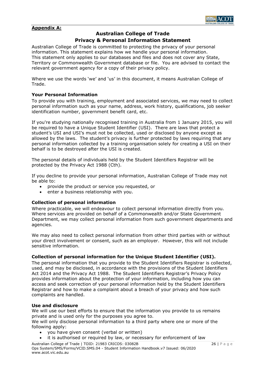

# **Appendix A:**

# **Australian College of Trade**

# **Privacy & Personal Information Statement**

Australian College of Trade is committed to protecting the privacy of your personal information. This statement explains how we handle your personal information. This statement only applies to our databases and files and does not cover any State, Territory or Commonwealth Government database or file. You are advised to contact the relevant government agency for a copy of their privacy policy.

Where we use the words 'we' and 'us' in this document, it means Australian College of Trade.

#### **Your Personal Information**

To provide you with training, employment and associated services, we may need to collect personal information such as your name, address, work history, qualifications, job seeker identification number, government benefit card, etc.

If you're studying nationally recognised training in Australia from 1 January 2015, you will be required to have a Unique Student Identifier (USI). There are laws that protect a student's USI and USI's must not be collected, used or disclosed by anyone except as allowed by the laws. The student's privacy is further protected by laws requiring that any personal information collected by a training organisation solely for creating a USI on their behalf is to be destroyed after the USI is created.

The personal details of individuals held by the Student Identifiers Registrar will be protected by the Privacy Act 1988 (Cth).

If you decline to provide your personal information, Australian College of Trade may not be able to:

- provide the product or service you requested, or
- enter a business relationship with you.

#### **Collection of personal information**

Where practicable, we will endeavour to collect personal information directly from you. Where services are provided on behalf of a Commonwealth and/or State Government Department, we may collect personal information from such government departments and agencies.

We may also need to collect personal information from other third parties with or without your direct involvement or consent, such as an employer. However, this will not include sensitive information.

# **Collection of personal information for the Unique Student Identifier (USI).**

The personal information that you provide to the Student Identifiers Registrar is collected, used, and may be disclosed, in accordance with the provisions of the Student Identifiers Act 2014 and the Privacy Act 1988. The Student Identifiers Registrar's Privacy Policy provides information about the protection of your information, including how you can access and seek correction of your personal information held by the Student Identifiers Registrar and how to make a complaint about a breach of your privacy and how such complaints are handled.

#### **Use and disclosure**

We will use our best efforts to ensure that the information you provide to us remains private and is used only for the purposes you agree to.

We will only disclose personal information to a third party where one or more of the following apply:

- you have given consent (verbal or written)
- it is authorised or required by law, or necessary for enforcement of law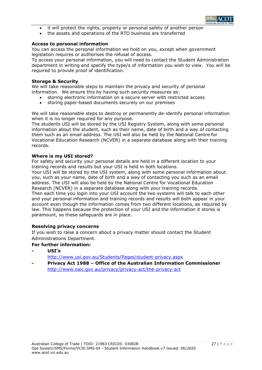

- it will protect the rights, property or personal safety of another person
- the assets and operations of the RTO business are transferred

#### **Access to personal information**

You can access the personal information we hold on you, except when government legislation requires or authorises the refusal of access.

To access your personal information, you will need to contact the Student Administration department in writing and specify the type/s of information you wish to view. You will be required to provide proof of identification.

#### **Storage & Security**

We will take reasonable steps to maintain the privacy and security of personal information. We ensure this by having such security measures as:

- storing electronic information on a secure server with restricted access
- storing paper-based documents securely on our premises

We will take reasonable steps to destroy or permanently de-identify personal information when it is no longer required for any purpose.

The students USI will be stored by the USI Registry System, along with some personal information about the student, such as their name, date of birth and a way of contacting them such as an email address. The USI will also be held by the National Centre for Vocational Education Research (NCVER) in a separate database along with their training records.

#### **Where is my USI stored?**

For safety and security your personal details are held in a different location to your training records and results but your USI is held in both locations.

Your USI will be stored by the USI system, along with some personal information about you, such as your name, date of birth and a way of contacting you such as an email address. The USI will also be held by the National Centre for Vocational Education Research (NCVER) in a separate database along with your training records.

Then each time you login into your USI account the two systems will talk to each other and your personal information and training records and results will both appear in your account even though the information comes from two different locations, as required by law. This happens because the protection of your USI and the information it stores is paramount, so these safeguards are in place.

# **Resolving privacy concerns**

If you wish to raise a concern about a privacy matter should contact the Student Administrations Department.

# **For further information:**

**- USI's**

<http://www.usi.gov.au/Students/Pages/student-privacy.aspx>

**- Privacy Act 1988 – Office of the Australian Information Commissioner** <http://www.oaic.gov.au/privacy/privacy-act/the-privacy-act>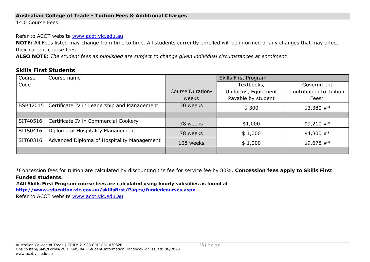# **Australian College of Trade - Tuition Fees & Additional Charges**

14.0 Course Fees

Refer to ACOT website [www.acot.vic.edu.au](http://www.acot.vic.edu.au/)

**NOTE:** All Fees listed may change from time to time. All students currently enrolled will be informed of any changes that may affect their current course fees.

**ALSO NOTE:** *The student fees as published are subject to change given individual circumstances at enrolment.*

# **Skills First Students**

| Course   | Course name                                            |                         | Skills First Program     |                         |  |
|----------|--------------------------------------------------------|-------------------------|--------------------------|-------------------------|--|
| Code     |                                                        |                         | Textbooks,<br>Government |                         |  |
|          |                                                        | <b>Course Duration-</b> | Uniforms, Equipment      | contribution to Tuition |  |
|          |                                                        | weeks                   | Payable by student       | Fees*                   |  |
|          | BSB42015   Certificate IV in Leadership and Management | 30 weeks                | \$300                    | $$3,380$ #*             |  |
|          |                                                        |                         |                          |                         |  |
| SIT40516 | Certificate IV in Commercial Cookery                   | 78 weeks                | \$1,000                  | $$9,210$ #*             |  |
| SIT50416 | Diploma of Hospitality Management                      | 78 weeks                | \$1,000                  | $$4,800$ #*             |  |
| SIT60316 | Advanced Diploma of Hospitality Management             | 108 weeks               | \$1,000                  | $$9,678$ #*             |  |
|          |                                                        |                         |                          |                         |  |

\*Concession fees for tuition are calculated by discounting the fee for service fee by 80%. **Concession fees apply to Skills First Funded students.**

**#All Skills First Program course fees are calculated using hourly subsidies as found at** 

**<http://www.education.vic.gov.au/skillsfirst/Pages/fundedcourses.aspx>**

Refer to ACOT website [www.acot.vic.edu.au](http://www.acot.vic.edu.au/)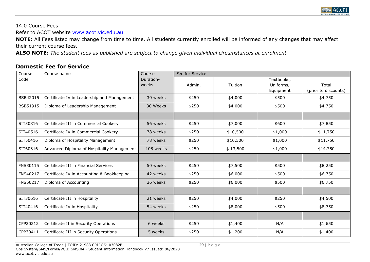

14.0 Course Fees

Refer to ACOT website [www.acot.vic.edu.au](http://www.acot.vic.edu.au/)

**NOTE:** All Fees listed may change from time to time. All students currently enrolled will be informed of any changes that may affect their current course fees.

**ALSO NOTE:** *The student fees as published are subject to change given individual circumstances at enrolment.*

# **Domestic Fee for Service**

| Course   | Course name                                 | Course             | Fee for Service |          |                                      |                               |
|----------|---------------------------------------------|--------------------|-----------------|----------|--------------------------------------|-------------------------------|
| Code     |                                             | Duration-<br>weeks | Admin.          | Tuition  | Textbooks,<br>Uniforms,<br>Equipment | Total<br>(prior to discounts) |
| BSB42015 | Certificate IV in Leadership and Management | 30 weeks           | \$250           | \$4,000  | \$500                                | \$4,750                       |
| BSB51915 | Diploma of Leadership Management            | 30 Weeks           | \$250           | \$4,000  | \$500                                | \$4,750                       |
|          |                                             |                    |                 |          |                                      |                               |
| SIT30816 | Certificate III in Commercial Cookery       | 56 weeks           | \$250           | \$7,000  | \$600                                | \$7,850                       |
| SIT40516 | Certificate IV in Commercial Cookery        | 78 weeks           | \$250           | \$10,500 | \$1,000                              | \$11,750                      |
| SIT50416 | Diploma of Hospitality Management           | 78 weeks           | \$250           | \$10,500 | \$1,000                              | \$11,750                      |
| SIT60316 | Advanced Diploma of Hospitality Management  | 108 weeks          | \$250           | \$13,500 | \$1,000                              | \$14,750                      |
|          |                                             |                    |                 |          |                                      |                               |
| FNS30115 | Certificate III in Financial Services       | 50 weeks           | \$250           | \$7,500  | \$500                                | \$8,250                       |
| FNS40217 | Certificate IV in Accounting & Bookkeeping  | 42 weeks           | \$250           | \$6,000  | \$500                                | \$6,750                       |
| FNS50217 | Diploma of Accounting                       | 36 weeks           | \$250           | \$6,000  | \$500                                | \$6,750                       |
|          |                                             |                    |                 |          |                                      |                               |
| SIT30616 | Certificate III in Hospitality              | 21 weeks           | \$250           | \$4,000  | \$250                                | \$4,500                       |
| SIT40416 | Certificate IV in Hospitality               | 54 weeks           | \$250           | \$8,000  | \$500                                | \$8,750                       |
|          |                                             |                    |                 |          |                                      |                               |
| CPP20212 | Certificate II in Security Operations       | 6 weeks            | \$250           | \$1,400  | N/A                                  | \$1,650                       |
| CPP30411 | Certificate III in Security Operations      | 5 weeks            | \$250           | \$1,200  | N/A                                  | \$1,400                       |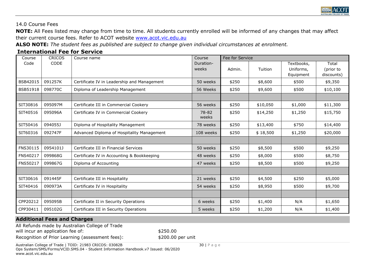

# 14.0 Course Fees

**NOTE:** All Fees listed may change from time to time. All students currently enrolled will be informed of any changes that may affect their current course fees. Refer to ACOT website [www.acot.vic.edu.au](http://www.acot.vic.edu.au/)

**ALSO NOTE:** *The student fees as published are subject to change given individual circumstances at enrolment.*

# **International Fee for Service**

| Course          | <b>CRICOS</b> | Course name                                 | Course             | Fee for Service |          |                                      |                                  |
|-----------------|---------------|---------------------------------------------|--------------------|-----------------|----------|--------------------------------------|----------------------------------|
| Code            | <b>CODE</b>   |                                             | Duration-<br>weeks | Admin.          | Tuition  | Textbooks,<br>Uniforms,<br>Equipment | Total<br>(prior to<br>discounts) |
| BSB42015        | 091257K       | Certificate IV in Leadership and Management | 50 weeks           | \$250           | \$8,600  | \$500                                | \$9,350                          |
| <b>BSB51918</b> | 098770C       | Diploma of Leadership Management            | 56 Weeks           | \$250           | \$9,600  | \$500                                | \$10,100                         |
|                 |               |                                             |                    |                 |          |                                      |                                  |
| SIT30816        | 095097M       | Certificate III in Commercial Cookery       | 56 weeks           | \$250           | \$10,050 | \$1,000                              | \$11,300                         |
| SIT40516        | 095096A       | Certificate IV in Commercial Cookery        | 78-82<br>weeks     | \$250           | \$14,250 | \$1,250                              | \$15,750                         |
| SIT50416        | 094055J       | Diploma of Hospitality Management           | 78 weeks           | \$250           | \$13,400 | \$750                                | \$14,400                         |
| SIT60316        | 092747F       | Advanced Diploma of Hospitality Management  | 108 weeks          | \$250           | \$18,500 | \$1,250                              | \$20,000                         |
|                 |               |                                             |                    |                 |          |                                      |                                  |
| FNS30115        | 0954101J      | Certificate III in Financial Services       | 50 weeks           | \$250           | \$8,500  | \$500                                | \$9,250                          |
| FNS40217        | 099868G       | Certificate IV in Accounting & Bookkeeping  | 48 weeks           | \$250           | \$8,000  | \$500                                | \$8,750                          |
| <b>FNS50217</b> | 099867G       | Diploma of Accounting                       | 47 weeks           | \$250           | \$8,500  | \$500                                | \$9,250                          |
|                 |               |                                             |                    |                 |          |                                      |                                  |
| SIT30616        | 091445F       | Certificate III in Hospitality              | 21 weeks           | \$250           | \$4,500  | \$250                                | \$5,000                          |
| SIT40416        | 090973A       | Certificate IV in Hospitality               | 54 weeks           | \$250           | \$8,950  | \$500                                | \$9,700                          |
|                 |               |                                             |                    |                 |          |                                      |                                  |
| CPP20212        | 095095B       | Certificate II in Security Operations       | 6 weeks            | \$250           | \$1,400  | N/A                                  | \$1,650                          |
| CPP30411        | 095102G       | Certificate III in Security Operations      | 5 weeks            | \$250           | \$1,200  | N/A                                  | \$1,400                          |

# **Additional Fees and Charges**

All Refunds made by Australian College of Trade will incur an application fee of:  $\frac{1}{250.00}$ Recognition of Prior Learning (assessment fees):  $\qquad \qquad$  \$200.00 per unit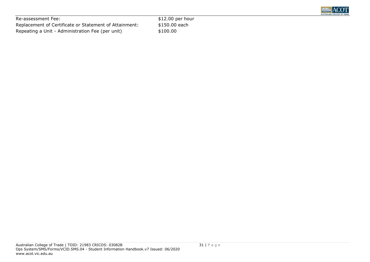

Re-assessment Fee:  $$12.00$  per hour Replacement of Certificate or Statement of Attainment: \$150.00 each Repeating a Unit - Administration Fee (per unit) \$100.00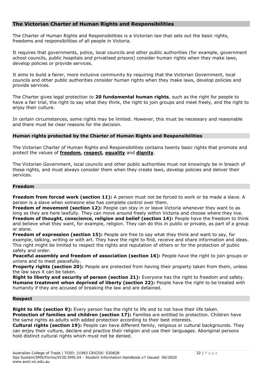# **The Victorian Charter of Human Rights and Responsibilities**

The Charter of Human Rights and Responsibilities is a Victorian law that sets out the basic rights, freedoms and responsibilities of all people in Victoria.

It requires that governments, police, local councils and other public authorities (for example, government school councils, public hospitals and privatised prisons) consider human rights when they make laws, develop policies or provide services.

It aims to build a fairer, more inclusive community by requiring that the Victorian Government, local councils and other public authorities consider human rights when they make laws, develop policies and provide services.

The Charter gives legal protection to **[20 fundamental human rights](http://www.victorianhumanrightscommission.com/www/index.php?option=com_k2&view=item&layout=item&id=905&Itemid=520)**, such as the right for people to have a fair trial, the right to say what they think, the right to join groups and meet freely, and the right to enjoy their culture.

In certain circumstances, some rights may be limited. However, this must be necessary and reasonable and there must be clear reasons for the decision.

# **Human rights protected by the Charter of Human Rights and Responsibilities**

The Victorian Charter of Human Rights and Responsibilities contains twenty basic rights that promote and protect the values of **[freedom,](http://www.victorianhumanrightscommission.com/www/index.php?option=com_k2&view=item&layout=item&id=905&Itemid=520#Freedom) [respect,](http://www.victorianhumanrightscommission.com/www/index.php?option=com_k2&view=item&layout=item&id=905&Itemid=520#Respect) [equality](http://www.victorianhumanrightscommission.com/www/index.php?option=com_k2&view=item&layout=item&id=905&Itemid=520#Equality)** and **[dignity](http://www.victorianhumanrightscommission.com/www/index.php?option=com_k2&view=item&layout=item&id=905&Itemid=520#Dignity)**.

The Victorian Government, local councils and other public authorities must not knowingly be in breach of these rights, and must always consider them when they create laws, develop policies and deliver their services.

# **Freedom**

**Freedom from forced work (section 11):** A person must not be forced to work or be made a slave. A person is a slave when someone else has complete control over them.

**Freedom of movement (section 12):** People can stay in or leave Victoria whenever they want to as long as they are here lawfully. They can move around freely within Victoria and choose where they live. **Freedom of thought, conscience, religion and belief (section 14):** People have the freedom to think and believe what they want, for example, religion. They can do this in public or private, as part of a group or alone.

**Freedom of expression (section 15):** People are free to say what they think and want to say, for example, talking, writing or with art. They have the right to find, receive and share information and ideas. This right might be limited to respect the rights and reputation of others or for the protection of public safety and order.

**Peaceful assembly and freedom of association (section 16):** People have the right to join groups or unions and to meet peacefully.

**Property rights (section 20):** People are protected from having their property taken from them, unless the law says it can be taken.

**Right to liberty and security of person (section 21):** Everyone has the right to freedom and safety. **Humane treatment when deprived of liberty (section 22):** People have the right to be treated with humanity if they are accused of breaking the law and are detained.

#### **Respect**

**Right to life (section 9):** Every person has the right to life and to not have their life taken. Protection of families and children (section 17): Families are entitled to protection. Children have the same rights as adults with added protection according to their best interests.

**Cultural rights (section 19):** People can have different family, religious or cultural backgrounds. They can enjoy their culture, declare and practice their religion and use their languages. Aboriginal persons hold distinct cultural rights which must not be denied.